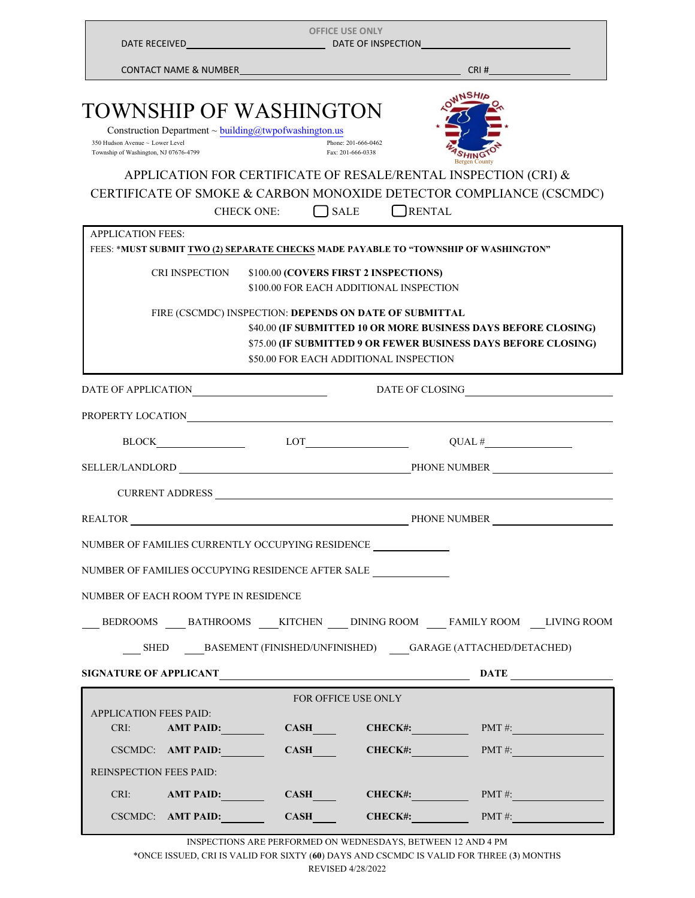| <b>OFFICE USE ONLY</b>                                                                                                                                                                                                         |                                                                                                  |                                          |                                                                                                                                        |
|--------------------------------------------------------------------------------------------------------------------------------------------------------------------------------------------------------------------------------|--------------------------------------------------------------------------------------------------|------------------------------------------|----------------------------------------------------------------------------------------------------------------------------------------|
|                                                                                                                                                                                                                                |                                                                                                  |                                          |                                                                                                                                        |
| <b>TOWNSHIP OF WASHINGTON</b><br>Construction Department ~ building@twpofwashington.us<br>350 Hudson Avenue ~ Lower Level<br>Township of Washington, NJ 07676-4799                                                             |                                                                                                  | Phone: 201-666-0462<br>Fax: 201-666-0338 | <b>Bergen County</b>                                                                                                                   |
|                                                                                                                                                                                                                                | $\bigcap$ SALE<br><b>CHECK ONE:</b>                                                              | RENTAL                                   | APPLICATION FOR CERTIFICATE OF RESALE/RENTAL INSPECTION (CRI) &<br>CERTIFICATE OF SMOKE & CARBON MONOXIDE DETECTOR COMPLIANCE (CSCMDC) |
| <b>APPLICATION FEES:</b><br>FEES: *MUST SUBMIT TWO (2) SEPARATE CHECKS MADE PAYABLE TO "TOWNSHIP OF WASHINGTON"                                                                                                                |                                                                                                  |                                          |                                                                                                                                        |
| CRI INSPECTION                                                                                                                                                                                                                 | \$100.00 (COVERS FIRST 2 INSPECTIONS)<br>\$100.00 FOR EACH ADDITIONAL INSPECTION                 |                                          |                                                                                                                                        |
|                                                                                                                                                                                                                                | FIRE (CSCMDC) INSPECTION: DEPENDS ON DATE OF SUBMITTAL<br>\$50.00 FOR EACH ADDITIONAL INSPECTION |                                          | \$40.00 (IF SUBMITTED 10 OR MORE BUSINESS DAYS BEFORE CLOSING)<br>\$75.00 (IF SUBMITTED 9 OR FEWER BUSINESS DAYS BEFORE CLOSING)       |
| DATE OF APPLICATIONNA AND A CONTROLLER DESCRIPTION OF A PROPERTY OF A SET OF A SET OF A SET OF A SET OF A SET OF A SET OF A SET OF A SET OF A SET OF A SET OF A SET OF A SET OF A SET OF A SET OF A SET OF A SET OF A SET OF A |                                                                                                  |                                          | DATE OF CLOSING<br><u>DATE OF CLOSING</u>                                                                                              |
| PROPERTY LOCATIONNA EXPERIENCE AND THE RESERVE EXPLORER TYPE OF THE RESERVE EXPLORER THE RESERVE EXPLORER THE RESERVE EXPLORER THAN A STRUCK OF THE RESERVE ENDING: A STRUCK OF THE RESERVE EXPLORER THAN A STRUCK OF THE RESE |                                                                                                  |                                          |                                                                                                                                        |
|                                                                                                                                                                                                                                |                                                                                                  |                                          | $QUAL \#$                                                                                                                              |
| SELLER/LANDLORD PHONE NUMBER                                                                                                                                                                                                   |                                                                                                  |                                          |                                                                                                                                        |
|                                                                                                                                                                                                                                |                                                                                                  |                                          |                                                                                                                                        |
| <b>REALTOR</b>                                                                                                                                                                                                                 | <b>PHONE NUMBER</b>                                                                              |                                          |                                                                                                                                        |
| NUMBER OF FAMILIES CURRENTLY OCCUPYING RESIDENCE                                                                                                                                                                               |                                                                                                  |                                          |                                                                                                                                        |
| NUMBER OF FAMILIES OCCUPYING RESIDENCE AFTER SALE                                                                                                                                                                              |                                                                                                  |                                          |                                                                                                                                        |
| NUMBER OF EACH ROOM TYPE IN RESIDENCE                                                                                                                                                                                          |                                                                                                  |                                          |                                                                                                                                        |
|                                                                                                                                                                                                                                |                                                                                                  |                                          | BEDROOMS BATHROOMS KITCHEN DINING ROOM FAMILY ROOM LIVING ROOM                                                                         |
|                                                                                                                                                                                                                                |                                                                                                  |                                          | SHED BASEMENT (FINISHED/UNFINISHED) GARAGE (ATTACHED/DETACHED)                                                                         |
|                                                                                                                                                                                                                                |                                                                                                  |                                          |                                                                                                                                        |
|                                                                                                                                                                                                                                |                                                                                                  | <b>FOR OFFICE USE ONLY</b>               |                                                                                                                                        |
| <b>APPLICATION FEES PAID:</b><br>CRI:                                                                                                                                                                                          |                                                                                                  |                                          | AMT PAID: CASH CHECK#: PMT #:                                                                                                          |
|                                                                                                                                                                                                                                |                                                                                                  |                                          | CSCMDC: AMT PAID: CASH CHECK#: PMT #:                                                                                                  |
| <b>REINSPECTION FEES PAID:</b>                                                                                                                                                                                                 |                                                                                                  |                                          |                                                                                                                                        |
|                                                                                                                                                                                                                                |                                                                                                  |                                          | CRI: AMT PAID: CASH CHECK#: PMT #:                                                                                                     |
| CSCMDC: AMT PAID:                                                                                                                                                                                                              |                                                                                                  |                                          | CASH CHECK#: $M + 2$                                                                                                                   |

INSPECTIONS ARE PERFORMED ON WEDNESDAYS, BETWEEN 12 AND 4 PM \*ONCE ISSUED, CRI IS VALID FOR SIXTY (**60**) DAYS AND CSCMDC IS VALID FOR THREE (**3**) MONTHS REVISED 4/28/2022